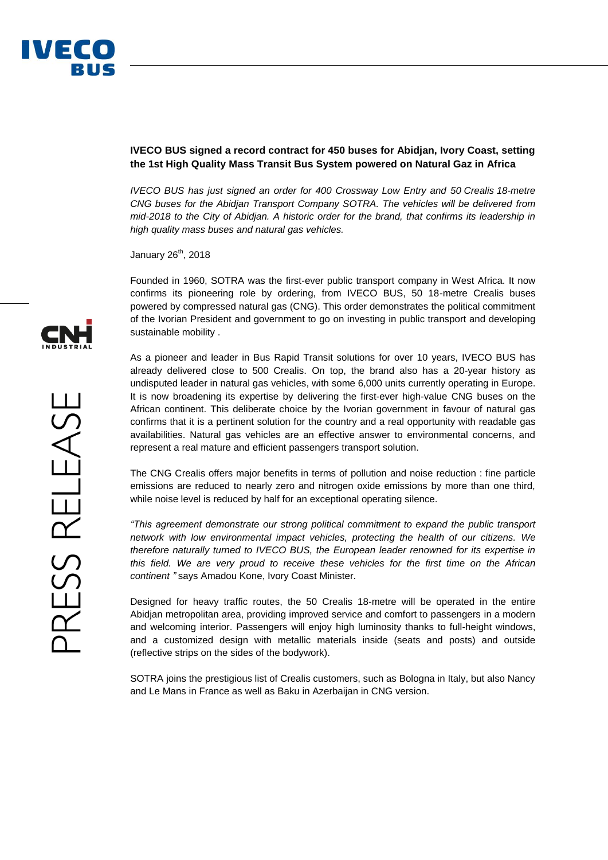

## **IVECO BUS signed a record contract for 450 buses for Abidjan, Ivory Coast, setting the 1st High Quality Mass Transit Bus System powered on Natural Gaz in Africa**

*IVECO BUS has just signed an order for 400 Crossway Low Entry and 50 Crealis 18-metre CNG buses for the Abidjan Transport Company SOTRA. The vehicles will be delivered from mid-2018 to the City of Abidjan. A historic order for the brand, that confirms its leadership in high quality mass buses and natural gas vehicles.*

January 26<sup>th</sup>, 2018

Founded in 1960, SOTRA was the first-ever public transport company in West Africa. It now confirms its pioneering role by ordering, from IVECO BUS, 50 18-metre Crealis buses powered by compressed natural gas (CNG). This order demonstrates the political commitment of the Ivorian President and government to go on investing in public transport and developing sustainable mobility .

As a pioneer and leader in Bus Rapid Transit solutions for over 10 years, IVECO BUS has already delivered close to 500 Crealis. On top, the brand also has a 20-year history as undisputed leader in natural gas vehicles, with some 6,000 units currently operating in Europe. It is now broadening its expertise by delivering the first-ever high-value CNG buses on the African continent. This deliberate choice by the Ivorian government in favour of natural gas confirms that it is a pertinent solution for the country and a real opportunity with readable gas availabilities. Natural gas vehicles are an effective answer to environmental concerns, and represent a real mature and efficient passengers transport solution.

The CNG Crealis offers major benefits in terms of pollution and noise reduction : fine particle emissions are reduced to nearly zero and nitrogen oxide emissions by more than one third, while noise level is reduced by half for an exceptional operating silence.

*"This agreement demonstrate our strong political commitment to expand the public transport network with low environmental impact vehicles, protecting the health of our citizens. We therefore naturally turned to IVECO BUS, the European leader renowned for its expertise in this field. We are very proud to receive these vehicles for the first time on the African continent "* says Amadou Kone, Ivory Coast Minister.

Designed for heavy traffic routes, the 50 Crealis 18-metre will be operated in the entire Abidjan metropolitan area, providing improved service and comfort to passengers in a modern and welcoming interior. Passengers will enjoy high luminosity thanks to full-height windows, and a customized design with metallic materials inside (seats and posts) and outside (reflective strips on the sides of the bodywork).

SOTRA joins the prestigious list of Crealis customers, such as Bologna in Italy, but also Nancy and Le Mans in France as well as Baku in Azerbaijan in CNG version.